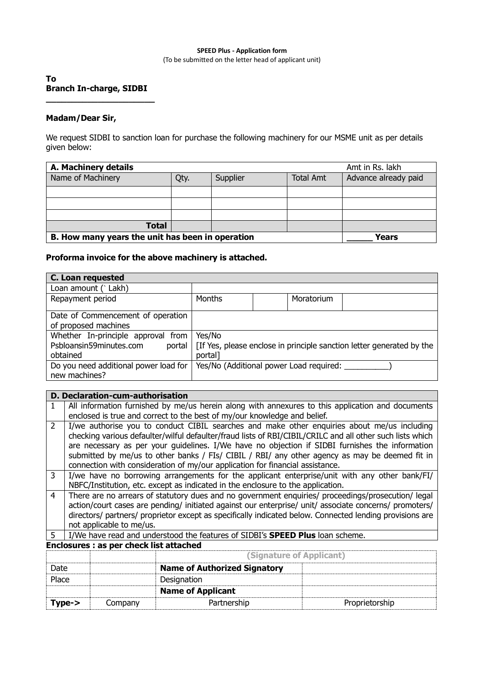## **SPEED Plus - Application form** (To be submitted on the letter head of applicant unit)

# **To Branch In-charge, SIDBI \_\_\_\_\_\_\_\_\_\_\_\_\_\_\_\_\_\_\_\_\_**

# **Madam/Dear Sir,**

We request SIDBI to sanction loan for purchase the following machinery for our MSME unit as per details given below:

| A. Machinery details                             | Amt in Rs. lakh |          |                  |                      |  |
|--------------------------------------------------|-----------------|----------|------------------|----------------------|--|
| Name of Machinery                                | Qty.            | Supplier | <b>Total Amt</b> | Advance already paid |  |
|                                                  |                 |          |                  |                      |  |
|                                                  |                 |          |                  |                      |  |
|                                                  |                 |          |                  |                      |  |
| <b>Total</b>                                     |                 |          |                  |                      |  |
| B. How many years the unit has been in operation |                 |          |                  | Years                |  |

# **Proforma invoice for the above machinery is attached.**

| C. Loan requested                                                                   |                   |                                         |                                                                       |  |
|-------------------------------------------------------------------------------------|-------------------|-----------------------------------------|-----------------------------------------------------------------------|--|
| Loan amount (`Lakh)                                                                 |                   |                                         |                                                                       |  |
| Repayment period                                                                    | Months            | Moratorium                              |                                                                       |  |
| Date of Commencement of operation<br>of proposed machines                           |                   |                                         |                                                                       |  |
| Whether In-principle approval from<br>Psbloansin59minutes.com<br>portal<br>obtained | Yes/No<br>portal] |                                         | [If Yes, please enclose in principle sanction letter generated by the |  |
| Do you need additional power load for<br>new machines?                              |                   | Yes/No (Additional power Load required: |                                                                       |  |

# **D. Declaration-cum-authorisation**

|               | All information furnished by me/us herein along with annexures to this application and documents<br>enclosed is true and correct to the best of my/our knowledge and belief.                                                                                                                                                                                                                                                                                                                   |  |  |  |  |
|---------------|------------------------------------------------------------------------------------------------------------------------------------------------------------------------------------------------------------------------------------------------------------------------------------------------------------------------------------------------------------------------------------------------------------------------------------------------------------------------------------------------|--|--|--|--|
| $\mathcal{P}$ | I/we authorise you to conduct CIBIL searches and make other enquiries about me/us including<br>checking various defaulter/wilful defaulter/fraud lists of RBI/CIBIL/CRILC and all other such lists which<br>are necessary as per your guidelines. I/We have no objection if SIDBI furnishes the information<br>submitted by me/us to other banks / FIs/ CIBIL / RBI/ any other agency as may be deemed fit in<br>connection with consideration of my/our application for financial assistance. |  |  |  |  |
| 3             | I/we have no borrowing arrangements for the applicant enterprise/unit with any other bank/FI/<br>NBFC/Institution, etc. except as indicated in the enclosure to the application.                                                                                                                                                                                                                                                                                                               |  |  |  |  |
| 4             | There are no arrears of statutory dues and no government enquiries/ proceedings/prosecution/ legal<br>action/court cases are pending/ initiated against our enterprise/ unit/ associate concerns/ promoters/<br>directors/ partners/ proprietor except as specifically indicated below. Connected lending provisions are<br>not applicable to me/us.                                                                                                                                           |  |  |  |  |
| 5             | I/We have read and understood the features of SIDBI's <b>SPEED Plus</b> loan scheme.                                                                                                                                                                                                                                                                                                                                                                                                           |  |  |  |  |
|               | <b>Enclosures : as per check list attached</b>                                                                                                                                                                                                                                                                                                                                                                                                                                                 |  |  |  |  |

|          |         | (Signature of Applicant)            |                |  |
|----------|---------|-------------------------------------|----------------|--|
| Date     |         | <b>Name of Authorized Signatory</b> |                |  |
| Place    |         | Designation                         |                |  |
|          |         | <b>Name of Applicant</b>            |                |  |
| $Type->$ | Company | Partnership                         | Proprietorship |  |